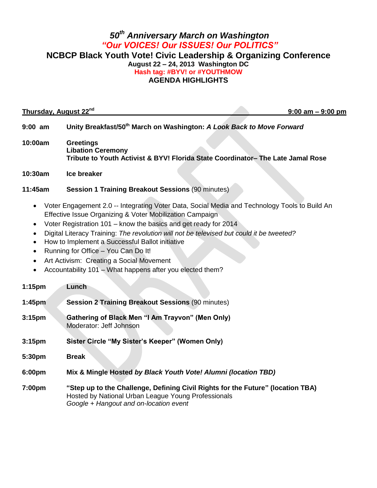## *50th Anniversary March on Washington "Our VOICES! Our ISSUES! Our POLITICS"* **NCBCP Black Youth Vote! Civic Leadership & Organizing Conference August 22 – 24, 2013 Washington DC Hash tag: #BYV! or #YOUTHMOW AGENDA HIGHLIGHTS**

| Thursday, August 22 <sup>nd</sup><br>$9:00$ am $-9:00$ pm                                                                                                                                                                                                                                                                                                                                                                                                                                                                                                                                                 |                                                                                                                                                                                  |
|-----------------------------------------------------------------------------------------------------------------------------------------------------------------------------------------------------------------------------------------------------------------------------------------------------------------------------------------------------------------------------------------------------------------------------------------------------------------------------------------------------------------------------------------------------------------------------------------------------------|----------------------------------------------------------------------------------------------------------------------------------------------------------------------------------|
| $9:00$ am                                                                                                                                                                                                                                                                                                                                                                                                                                                                                                                                                                                                 | Unity Breakfast/50 <sup>th</sup> March on Washington: A Look Back to Move Forward                                                                                                |
| 10:00am                                                                                                                                                                                                                                                                                                                                                                                                                                                                                                                                                                                                   | <b>Greetings</b><br><b>Libation Ceremony</b><br>Tribute to Youth Activist & BYV! Florida State Coordinator- The Late Jamal Rose                                                  |
| 10:30am                                                                                                                                                                                                                                                                                                                                                                                                                                                                                                                                                                                                   | Ice breaker                                                                                                                                                                      |
| 11:45am                                                                                                                                                                                                                                                                                                                                                                                                                                                                                                                                                                                                   | <b>Session 1 Training Breakout Sessions (90 minutes)</b>                                                                                                                         |
| Voter Engagement 2.0 -- Integrating Voter Data, Social Media and Technology Tools to Build An<br>$\bullet$<br>Effective Issue Organizing & Voter Mobilization Campaign<br>Voter Registration 101 - know the basics and get ready for 2014<br>$\bullet$<br>Digital Literacy Training: The revolution will not be televised but could it be tweeted?<br>$\bullet$<br>How to Implement a Successful Ballot initiative<br>$\bullet$<br>Running for Office - You Can Do It!<br>$\bullet$<br>Art Activism: Creating a Social Movement<br>$\bullet$<br>Accountability 101 - What happens after you elected them? |                                                                                                                                                                                  |
| 1:15pm                                                                                                                                                                                                                                                                                                                                                                                                                                                                                                                                                                                                    | Lunch                                                                                                                                                                            |
| 1:45 <sub>pm</sub>                                                                                                                                                                                                                                                                                                                                                                                                                                                                                                                                                                                        | <b>Session 2 Training Breakout Sessions (90 minutes)</b>                                                                                                                         |
| 3:15 <sub>pm</sub>                                                                                                                                                                                                                                                                                                                                                                                                                                                                                                                                                                                        | Gathering of Black Men "I Am Trayvon" (Men Only)<br>Moderator: Jeff Johnson                                                                                                      |
| 3:15 <sub>pm</sub>                                                                                                                                                                                                                                                                                                                                                                                                                                                                                                                                                                                        | Sister Circle "My Sister's Keeper" (Women Only)                                                                                                                                  |
| 5:30pm                                                                                                                                                                                                                                                                                                                                                                                                                                                                                                                                                                                                    | <b>Break</b>                                                                                                                                                                     |
| 6:00pm                                                                                                                                                                                                                                                                                                                                                                                                                                                                                                                                                                                                    | Mix & Mingle Hosted by Black Youth Vote! Alumni (location TBD)                                                                                                                   |
| 7:00pm                                                                                                                                                                                                                                                                                                                                                                                                                                                                                                                                                                                                    | "Step up to the Challenge, Defining Civil Rights for the Future" (location TBA)<br>Hosted by National Urban League Young Professionals<br>Google + Hangout and on-location event |